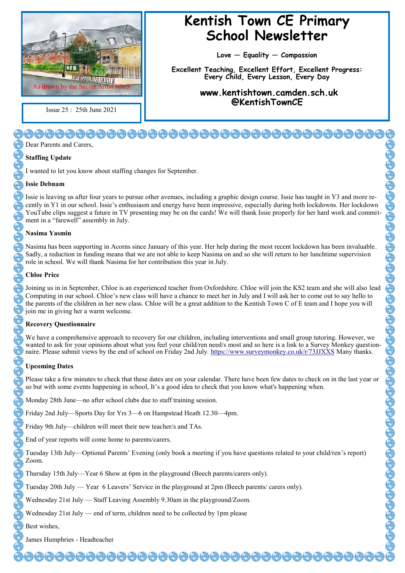

Issue 25 : 25th June 2021

### **Kentish Town CE Primary School Newsletter**

**Love — Equality — Compassion**

**Excellent Teaching, Excellent Effort, Excellent Progress: Every Child, Every Lesson, Every Day**

> **www.kentishtown.camden.sch.uk @KentishTownCE**

## <del>00000000000000000000000000</del>

Dear Parents and Carers,

#### **Staffing Update**

I wanted to let you know about staffing changes for September.

#### **Issie Debnam**

Issie is leaving us after four years to pursue other avenues, including a graphic design course. Issie has taught in Y3 and more recently in Y1 in our school. Issie's enthusiasm and energy have been impressive, especially during both lockdowns. Her lockdown YouTube clips suggest a future in TV presenting may be on the cards! We will thank Issie properly for her hard work and commitment in a "farewell" assembly in July.

#### **Nasima Yasmin**

Nasima has been supporting in Acorns since January of this year. Her help during the most recent lockdown has been invaluable. Sadly, a reduction in funding means that we are not able to keep Nasima on and so she will return to her lunchtime supervision role in school. We will thank Nasima for her contribution this year in July.

#### **Chloe Price**

Joining us in in September, Chloe is an experienced teacher from Oxfordshire. Chloe will join the KS2 team and she will also lead Computing in our school. Chloe's new class will have a chance to meet her in July and I will ask her to come out to say hello to the parents of the children in her new class. Chloe will be a great addition to the Kentish Town C of E team and I hope you will join me in giving her a warm welcome.

#### **Recovery Questionnaire**

We have a comprehensive approach to recovery for our children, including interventions and small group tutoring. However, we wanted to ask for your opinions about what you feel your child/ren need/s most and so here is a link to a Survey Monkey questionnaire. Please submit views by the end of school on Friday 2nd July. <https://www.surveymonkey.co.uk/r/73JJXXS> Many thanks.

#### **Upcoming Dates**

Please take a few minutes to check that these dates are on your calendar. There have been few dates to check on in the last year or so but with some events happening in school, It's a good idea to check that you know what's happening when.

Monday 28th June—no after school clubs due to staff training session.

Friday 2nd July—Sports Day for Yrs 3—6 on Hampstead Heath 12.30—4pm.

Friday 9th July—children will meet their new teacher/s and TAs.

End of year reports will come home to parents/carers.

Tuesday 13th July—Optional Parents' Evening (only book a meeting if you have questions related to your child/ren's report) Zoom.

EDEDEDEDEDEDEDEDEDEDEDEDED

Thursday 15th July—Year 6 Show at 6pm in the playground (Beech parents/carers only).

Tuesday 20th July — Year 6 Leavers' Service in the playground at 2pm (Beech parents/ carers only).

Wednesday 21st July — Staff Leaving Assembly 9.30am in the playground/Zoom.

Wednesday 21st July — end of term, children need to be collected by 1pm please

Best wishes,

James Humphries - Headteacher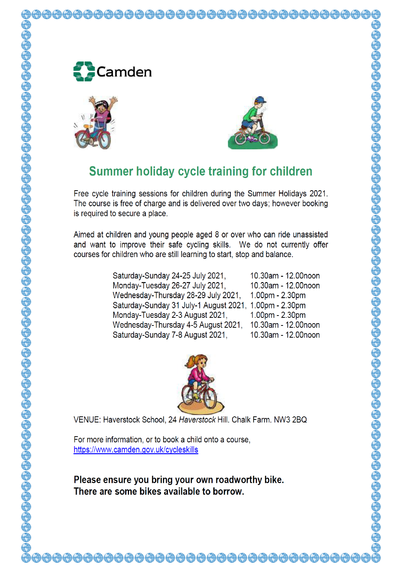





### **Summer holiday cycle training for children**

Free cycle training sessions for children during the Summer Holidays 2021. The course is free of charge and is delivered over two days; however booking is required to secure a place.

Aimed at children and young people aged 8 or over who can ride unassisted and want to improve their safe cycling skills. We do not currently offer courses for children who are still learning to start, stop and balance.

> Saturday-Sunday 24-25 July 2021, 10.30am - 12.00noon Monday-Tuesday 26-27 July 2021, 10.30am - 12.00noon Wednesday-Thursday 28-29 July 2021, 1.00pm - 2.30pm Saturday-Sunday 31 July-1 August 2021, 1.00pm - 2.30pm 1.00pm - 2.30pm Monday-Tuesday 2-3 August 2021, 10.30am - 12.00noon Wednesday-Thursday 4-5 August 2021, Saturday-Sunday 7-8 August 2021, 10.30am - 12.00noon



VENUE: Haverstock School, 24 Haverstock Hill, Chalk Farm, NW3 2BQ

For more information, or to book a child onto a course, https://www.camden.gov.uk/cycleskills

Please ensure you bring your own roadworthy bike. There are some bikes available to borrow.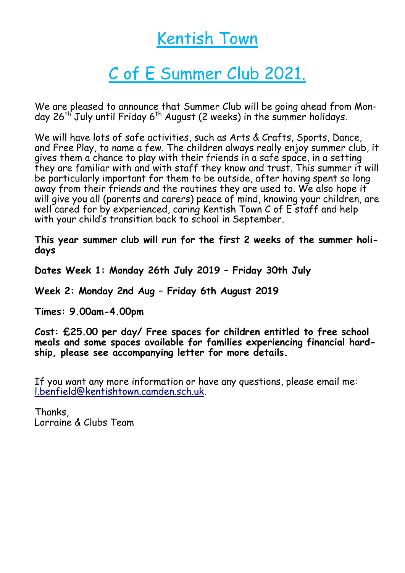## Kentish Town

# C of E Summer Club 2021.

We are pleased to announce that Summer Club will be going ahead from Monday  $26^{th}$  July until Friday  $6^{th}$  August (2 weeks) in the summer holidays.

We will have lots of safe activities, such as Arts & Crafts, Sports, Dance, and Free Play, to name a few. The children always really enjoy summer club, it gives them a chance to play with their friends in a safe space, in a setting they are familiar with and with staff they know and trust. This summer it will be particularly important for them to be outside, after having spent so long away from their friends and the routines they are used to. We also hope it will give you all (parents and carers) peace of mind, knowing your children, are well cared for by experienced, caring Kentish Town C of E staff and help with your child's transition back to school in September.

**This year summer club will run for the first 2 weeks of the summer holidays**

**Dates Week 1: Monday 26th July 2019 – Friday 30th July** 

**Week 2: Monday 2nd Aug – Friday 6th August 2019** 

**Times: 9.00am-4.00pm**

**Cost: £25.00 per day/ Free spaces for children entitled to free school meals and some spaces available for families experiencing financial hardship, please see accompanying letter for more details.**

If you want any more information or have any questions, please email me: [l.benfield@kentishtown.camden.sch.uk.](mailto:l.benfield@kentishtown.camden.sch.uk)

Thanks, Lorraine & Clubs Team